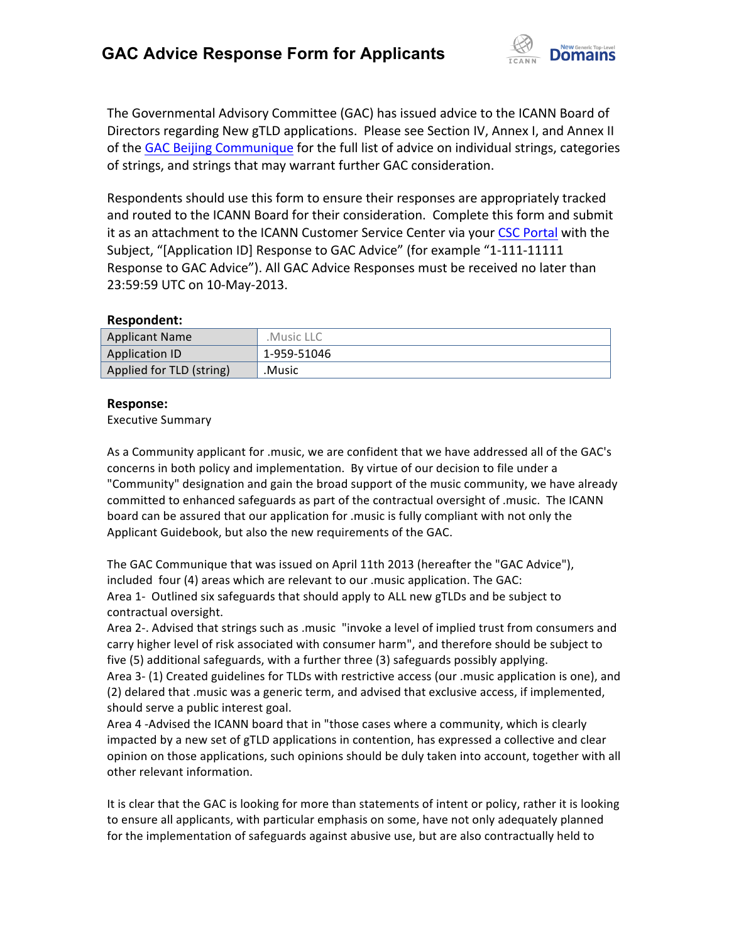

The Governmental Advisory Committee (GAC) has issued advice to the ICANN Board of Directors regarding New gTLD applications. Please see Section IV, Annex I, and Annex II of the GAC Beijing Communique for the full list of advice on individual strings, categories of strings, and strings that may warrant further GAC consideration.

Respondents should use this form to ensure their responses are appropriately tracked and routed to the ICANN Board for their consideration. Complete this form and submit it as an attachment to the ICANN Customer Service Center via your CSC Portal with the Subject, "[Application ID] Response to GAC Advice" (for example "1-111-11111 Response to GAC Advice"). All GAC Advice Responses must be received no later than 23:59:59 UTC on 10-May-2013.

# **Respondent:**

| <b>Applicant Name</b>    | .Music LLC  |
|--------------------------|-------------|
| Application ID           | 1-959-51046 |
| Applied for TLD (string) | .Music      |

# **Response:**

Executive Summary

As a Community applicant for .music, we are confident that we have addressed all of the GAC's concerns in both policy and implementation. By virtue of our decision to file under a "Community" designation and gain the broad support of the music community, we have already committed to enhanced safeguards as part of the contractual oversight of .music. The ICANN board can be assured that our application for .music is fully compliant with not only the Applicant Guidebook, but also the new requirements of the GAC.

The GAC Communique that was issued on April 11th 2013 (hereafter the "GAC Advice"), included four  $(4)$  areas which are relevant to our .music application. The GAC: Area 1- Outlined six safeguards that should apply to ALL new gTLDs and be subject to contractual oversight.

Area 2-. Advised that strings such as .music "invoke a level of implied trust from consumers and carry higher level of risk associated with consumer harm", and therefore should be subject to five (5) additional safeguards, with a further three (3) safeguards possibly applying.

Area 3- (1) Created guidelines for TLDs with restrictive access (our .music application is one), and (2) delared that music was a generic term, and advised that exclusive access, if implemented, should serve a public interest goal.

Area 4 -Advised the ICANN board that in "those cases where a community, which is clearly impacted by a new set of gTLD applications in contention, has expressed a collective and clear opinion on those applications, such opinions should be duly taken into account, together with all other relevant information.

It is clear that the GAC is looking for more than statements of intent or policy, rather it is looking to ensure all applicants, with particular emphasis on some, have not only adequately planned for the implementation of safeguards against abusive use, but are also contractually held to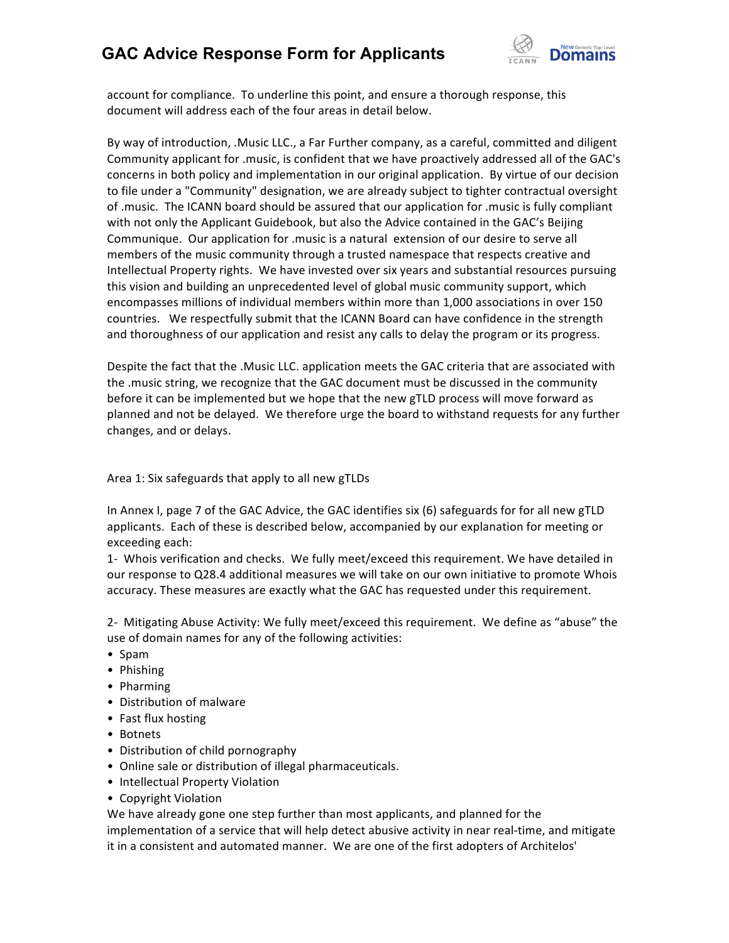

account for compliance. To underline this point, and ensure a thorough response, this document will address each of the four areas in detail below.

By way of introduction, .Music LLC., a Far Further company, as a careful, committed and diligent Community applicant for .music, is confident that we have proactively addressed all of the GAC's concerns in both policy and implementation in our original application. By virtue of our decision to file under a "Community" designation, we are already subject to tighter contractual oversight of .music. The ICANN board should be assured that our application for .music is fully compliant with not only the Applicant Guidebook, but also the Advice contained in the GAC's Beijing Communique. Our application for .music is a natural extension of our desire to serve all members of the music community through a trusted namespace that respects creative and Intellectual Property rights. We have invested over six years and substantial resources pursuing this vision and building an unprecedented level of global music community support, which encompasses millions of individual members within more than 1,000 associations in over 150 countries. We respectfully submit that the ICANN Board can have confidence in the strength and thoroughness of our application and resist any calls to delay the program or its progress.

Despite the fact that the .Music LLC. application meets the GAC criteria that are associated with the music string, we recognize that the GAC document must be discussed in the community before it can be implemented but we hope that the new gTLD process will move forward as planned and not be delayed. We therefore urge the board to withstand requests for any further changes, and or delays.

Area 1: Six safeguards that apply to all new gTLDs

In Annex I, page 7 of the GAC Advice, the GAC identifies six (6) safeguards for for all new gTLD applicants. Each of these is described below, accompanied by our explanation for meeting or exceeding each:

1- Whois verification and checks. We fully meet/exceed this requirement. We have detailed in our response to Q28.4 additional measures we will take on our own initiative to promote Whois accuracy. These measures are exactly what the GAC has requested under this requirement.

2- Mitigating Abuse Activity: We fully meet/exceed this requirement. We define as "abuse" the use of domain names for any of the following activities:

- • Spam
- Phishing
- Pharming
- Distribution of malware
- Fast flux hosting
- Botnets
- Distribution of child pornography
- Online sale or distribution of illegal pharmaceuticals.
- Intellectual Property Violation
- Copyright Violation

We have already gone one step further than most applicants, and planned for the implementation of a service that will help detect abusive activity in near real-time, and mitigate it in a consistent and automated manner. We are one of the first adopters of Architelos'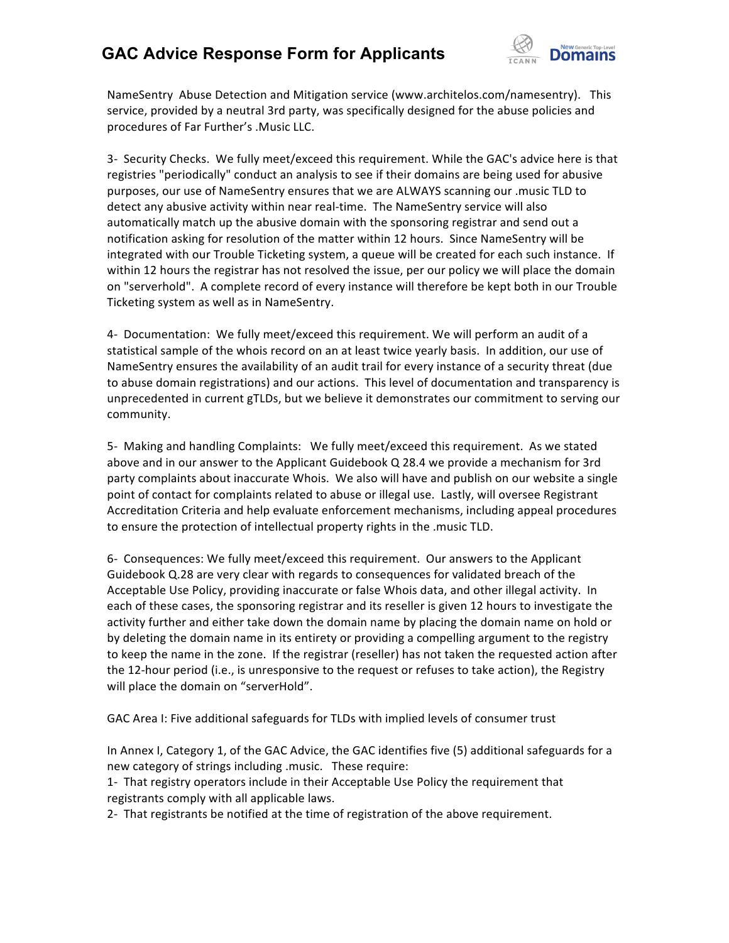

NameSentry Abuse Detection and Mitigation service (www.architelos.com/namesentry). This service, provided by a neutral 3rd party, was specifically designed for the abuse policies and procedures of Far Further's .Music LLC.

3- Security Checks. We fully meet/exceed this requirement. While the GAC's advice here is that registries "periodically" conduct an analysis to see if their domains are being used for abusive purposes, our use of NameSentry ensures that we are ALWAYS scanning our .music TLD to detect any abusive activity within near real-time. The NameSentry service will also automatically match up the abusive domain with the sponsoring registrar and send out a notification asking for resolution of the matter within 12 hours. Since NameSentry will be integrated with our Trouble Ticketing system, a queue will be created for each such instance. If within 12 hours the registrar has not resolved the issue, per our policy we will place the domain on "serverhold". A complete record of every instance will therefore be kept both in our Trouble Ticketing system as well as in NameSentry.

4- Documentation: We fully meet/exceed this requirement. We will perform an audit of a statistical sample of the whois record on an at least twice yearly basis. In addition, our use of NameSentry ensures the availability of an audit trail for every instance of a security threat (due to abuse domain registrations) and our actions. This level of documentation and transparency is unprecedented in current gTLDs, but we believe it demonstrates our commitment to serving our community.

5- Making and handling Complaints: We fully meet/exceed this requirement. As we stated above and in our answer to the Applicant Guidebook Q 28.4 we provide a mechanism for 3rd party complaints about inaccurate Whois. We also will have and publish on our website a single point of contact for complaints related to abuse or illegal use. Lastly, will oversee Registrant Accreditation Criteria and help evaluate enforcement mechanisms, including appeal procedures to ensure the protection of intellectual property rights in the .music TLD.

6- Consequences: We fully meet/exceed this requirement. Our answers to the Applicant Guidebook Q.28 are very clear with regards to consequences for validated breach of the Acceptable Use Policy, providing inaccurate or false Whois data, and other illegal activity. In each of these cases, the sponsoring registrar and its reseller is given 12 hours to investigate the activity further and either take down the domain name by placing the domain name on hold or by deleting the domain name in its entirety or providing a compelling argument to the registry to keep the name in the zone. If the registrar (reseller) has not taken the requested action after the 12-hour period (i.e., is unresponsive to the request or refuses to take action), the Registry will place the domain on "serverHold".

GAC Area I: Five additional safeguards for TLDs with implied levels of consumer trust

In Annex I, Category 1, of the GAC Advice, the GAC identifies five (5) additional safeguards for a new category of strings including .music. These require:

1- That registry operators include in their Acceptable Use Policy the requirement that registrants comply with all applicable laws.

2- That registrants be notified at the time of registration of the above requirement.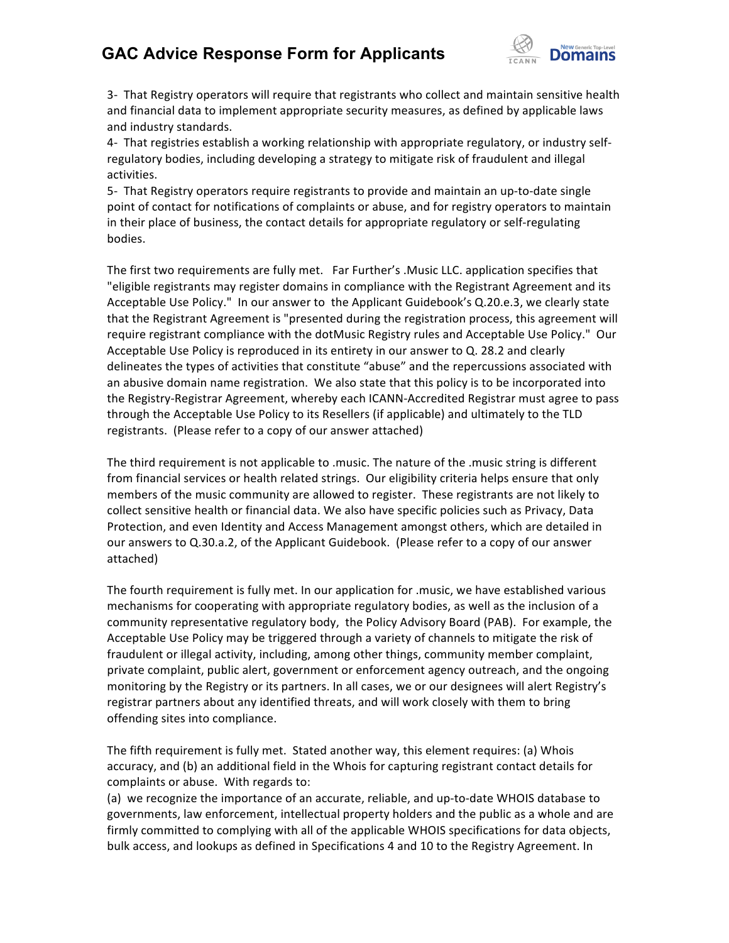

3- That Registry operators will require that registrants who collect and maintain sensitive health and financial data to implement appropriate security measures, as defined by applicable laws and industry standards.

4- That registries establish a working relationship with appropriate regulatory, or industry selfregulatory bodies, including developing a strategy to mitigate risk of fraudulent and illegal activities.

5- That Registry operators require registrants to provide and maintain an up-to-date single point of contact for notifications of complaints or abuse, and for registry operators to maintain in their place of business, the contact details for appropriate regulatory or self-regulating bodies.

The first two requirements are fully met. Far Further's .Music LLC. application specifies that "eligible registrants may register domains in compliance with the Registrant Agreement and its Acceptable Use Policy." In our answer to the Applicant Guidebook's Q.20.e.3, we clearly state that the Registrant Agreement is "presented during the registration process, this agreement will require registrant compliance with the dotMusic Registry rules and Acceptable Use Policy." Our Acceptable Use Policy is reproduced in its entirety in our answer to Q. 28.2 and clearly delineates the types of activities that constitute "abuse" and the repercussions associated with an abusive domain name registration. We also state that this policy is to be incorporated into the Registry-Registrar Agreement, whereby each ICANN-Accredited Registrar must agree to pass through the Acceptable Use Policy to its Resellers (if applicable) and ultimately to the TLD registrants. (Please refer to a copy of our answer attached)

The third requirement is not applicable to .music. The nature of the .music string is different from financial services or health related strings. Our eligibility criteria helps ensure that only members of the music community are allowed to register. These registrants are not likely to collect sensitive health or financial data. We also have specific policies such as Privacy, Data Protection, and even Identity and Access Management amongst others, which are detailed in our answers to Q.30.a.2, of the Applicant Guidebook. (Please refer to a copy of our answer attached) 

The fourth requirement is fully met. In our application for .music, we have established various mechanisms for cooperating with appropriate regulatory bodies, as well as the inclusion of a community representative regulatory body, the Policy Advisory Board (PAB). For example, the Acceptable Use Policy may be triggered through a variety of channels to mitigate the risk of fraudulent or illegal activity, including, among other things, community member complaint, private complaint, public alert, government or enforcement agency outreach, and the ongoing monitoring by the Registry or its partners. In all cases, we or our designees will alert Registry's registrar partners about any identified threats, and will work closely with them to bring offending sites into compliance.

The fifth requirement is fully met. Stated another way, this element requires: (a) Whois accuracy, and (b) an additional field in the Whois for capturing registrant contact details for complaints or abuse. With regards to:

(a) we recognize the importance of an accurate, reliable, and up-to-date WHOIS database to governments, law enforcement, intellectual property holders and the public as a whole and are firmly committed to complying with all of the applicable WHOIS specifications for data objects, bulk access, and lookups as defined in Specifications 4 and 10 to the Registry Agreement. In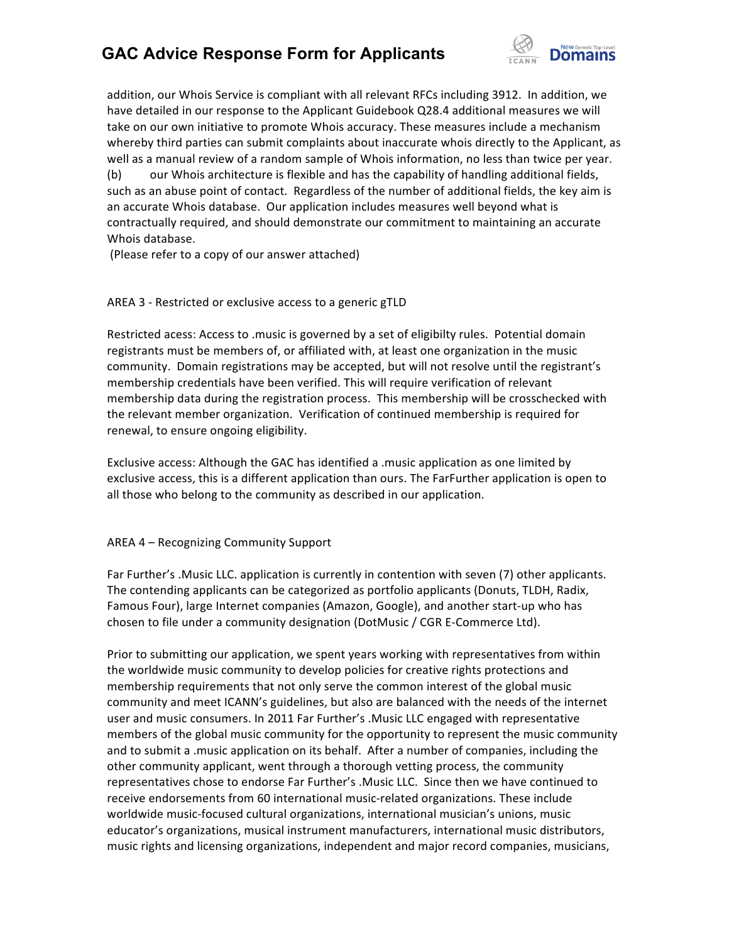

addition, our Whois Service is compliant with all relevant RFCs including 3912. In addition, we have detailed in our response to the Applicant Guidebook Q28.4 additional measures we will take on our own initiative to promote Whois accuracy. These measures include a mechanism whereby third parties can submit complaints about inaccurate whois directly to the Applicant, as well as a manual review of a random sample of Whois information, no less than twice per year. (b) our Whois architecture is flexible and has the capability of handling additional fields, such as an abuse point of contact. Regardless of the number of additional fields, the key aim is an accurate Whois database. Our application includes measures well beyond what is contractually required, and should demonstrate our commitment to maintaining an accurate Whois database.

(Please refer to a copy of our answer attached)

# AREA 3 - Restricted or exclusive access to a generic gTLD

Restricted acess: Access to .music is governed by a set of eligibilty rules. Potential domain registrants must be members of, or affiliated with, at least one organization in the music community. Domain registrations may be accepted, but will not resolve until the registrant's membership credentials have been verified. This will require verification of relevant membership data during the registration process. This membership will be crosschecked with the relevant member organization. Verification of continued membership is required for renewal, to ensure ongoing eligibility.

Exclusive access: Although the GAC has identified a .music application as one limited by exclusive access, this is a different application than ours. The FarFurther application is open to all those who belong to the community as described in our application.

# AREA 4 - Recognizing Community Support

Far Further's .Music LLC. application is currently in contention with seven (7) other applicants. The contending applicants can be categorized as portfolio applicants (Donuts, TLDH, Radix, Famous Four), large Internet companies (Amazon, Google), and another start-up who has chosen to file under a community designation (DotMusic / CGR E-Commerce Ltd).

Prior to submitting our application, we spent years working with representatives from within the worldwide music community to develop policies for creative rights protections and membership requirements that not only serve the common interest of the global music community and meet ICANN's guidelines, but also are balanced with the needs of the internet user and music consumers. In 2011 Far Further's .Music LLC engaged with representative members of the global music community for the opportunity to represent the music community and to submit a music application on its behalf. After a number of companies, including the other community applicant, went through a thorough vetting process, the community representatives chose to endorse Far Further's .Music LLC. Since then we have continued to receive endorsements from 60 international music-related organizations. These include worldwide music-focused cultural organizations, international musician's unions, music educator's organizations, musical instrument manufacturers, international music distributors, music rights and licensing organizations, independent and major record companies, musicians,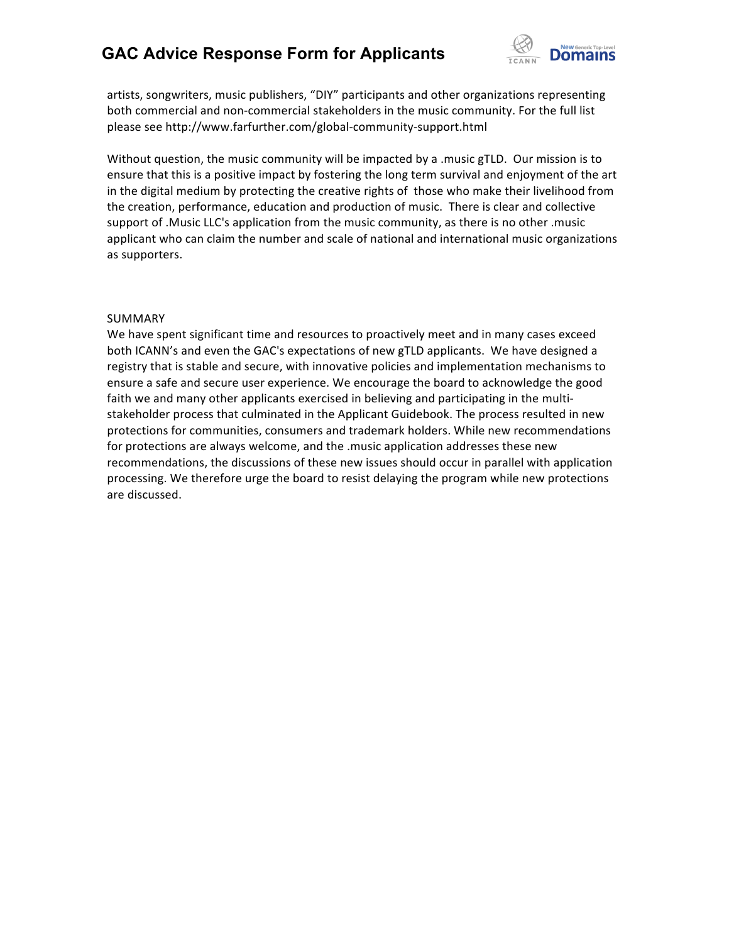

artists, songwriters, music publishers, "DIY" participants and other organizations representing both commercial and non-commercial stakeholders in the music community. For the full list please see http://www.farfurther.com/global-community-support.html

Without question, the music community will be impacted by a .music gTLD. Our mission is to ensure that this is a positive impact by fostering the long term survival and enjoyment of the art in the digital medium by protecting the creative rights of those who make their livelihood from the creation, performance, education and production of music. There is clear and collective support of .Music LLC's application from the music community, as there is no other .music applicant who can claim the number and scale of national and international music organizations as supporters.

# SUMMARY

We have spent significant time and resources to proactively meet and in many cases exceed both ICANN's and even the GAC's expectations of new gTLD applicants. We have designed a registry that is stable and secure, with innovative policies and implementation mechanisms to ensure a safe and secure user experience. We encourage the board to acknowledge the good faith we and many other applicants exercised in believing and participating in the multistakeholder process that culminated in the Applicant Guidebook. The process resulted in new protections for communities, consumers and trademark holders. While new recommendations for protections are always welcome, and the .music application addresses these new recommendations, the discussions of these new issues should occur in parallel with application processing. We therefore urge the board to resist delaying the program while new protections are discussed.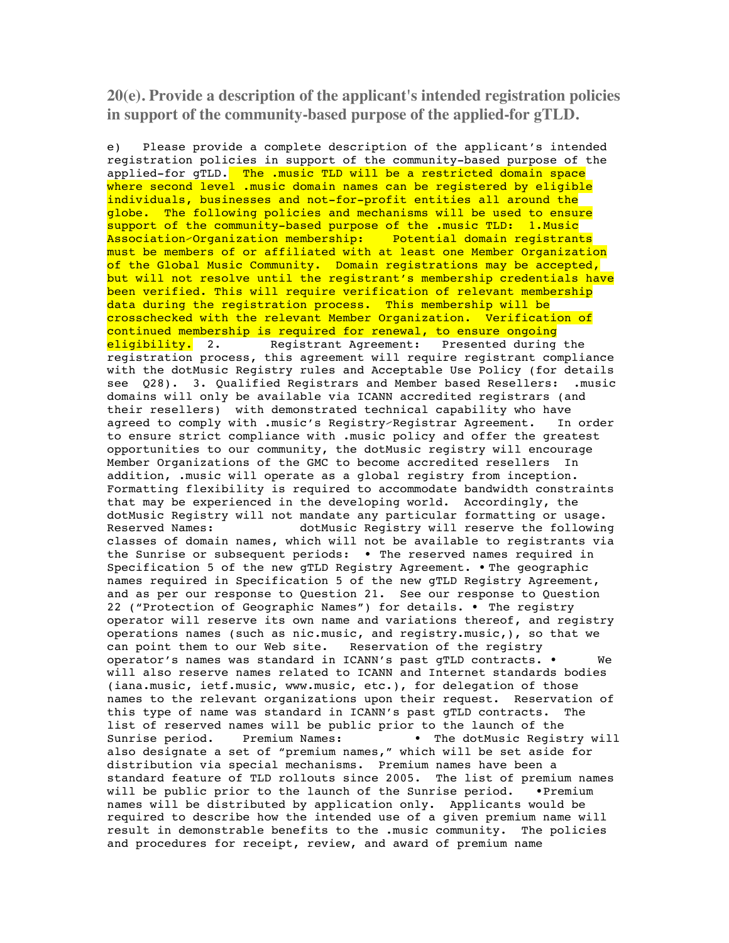**20(e). Provide a description of the applicant's intended registration policies in support of the community-based purpose of the applied-for gTLD.**

e) Please provide a complete description of the applicant's intended registration policies in support of the community-based purpose of the applied-for gTLD. The .music TLD will be a restricted domain space where second level .music domain names can be registered by eligible individuals, businesses and not-for-profit entities all around the globe. The following policies and mechanisms will be used to ensure support of the community-based purpose of the .music TLD: 1.Music Association⁄Organization membership: Potential domain registrants must be members of or affiliated with at least one Member Organization of the Global Music Community. Domain registrations may be accepted, but will not resolve until the registrant's membership credentials have been verified. This will require verification of relevant membership data during the registration process. This membership will be crosschecked with the relevant Member Organization. Verification of continued membership is required for renewal, to ensure ongoing eligibility. 2. Registrant Agreement: Presented during the registration process, this agreement will require registrant compliance with the dotMusic Registry rules and Acceptable Use Policy (for details see Q28). 3. Qualified Registrars and Member based Resellers: .music domains will only be available via ICANN accredited registrars (and their resellers) with demonstrated technical capability who have agreed to comply with .music's Registry-Registrar Agreement. In order to ensure strict compliance with .music policy and offer the greatest opportunities to our community, the dotMusic registry will encourage Member Organizations of the GMC to become accredited resellers In addition, .music will operate as a global registry from inception. Formatting flexibility is required to accommodate bandwidth constraints that may be experienced in the developing world. Accordingly, the dotMusic Registry will not mandate any particular formatting or usage. Reserved Names: dotMusic Registry will reserve the following classes of domain names, which will not be available to registrants via the Sunrise or subsequent periods: • The reserved names required in Specification 5 of the new gTLD Registry Agreement. • The geographic names required in Specification 5 of the new gTLD Registry Agreement, and as per our response to Question 21. See our response to Question 22 ("Protection of Geographic Names") for details. • The registry operator will reserve its own name and variations thereof, and registry operations names (such as nic.music, and registry.music,), so that we can point them to our Web site. Reservation of the registry operator's names was standard in ICANN's past gTLD contracts. • We will also reserve names related to ICANN and Internet standards bodies (iana.music, ietf.music, www.music, etc.), for delegation of those names to the relevant organizations upon their request. Reservation of this type of name was standard in ICANN's past gTLD contracts. The list of reserved names will be public prior to the launch of the Sunrise period. Premium Names: • The dotMusic Registry will also designate a set of "premium names," which will be set aside for distribution via special mechanisms. Premium names have been a standard feature of TLD rollouts since 2005. The list of premium names will be public prior to the launch of the Sunrise period. •Premium names will be distributed by application only. Applicants would be required to describe how the intended use of a given premium name will result in demonstrable benefits to the .music community. The policies and procedures for receipt, review, and award of premium name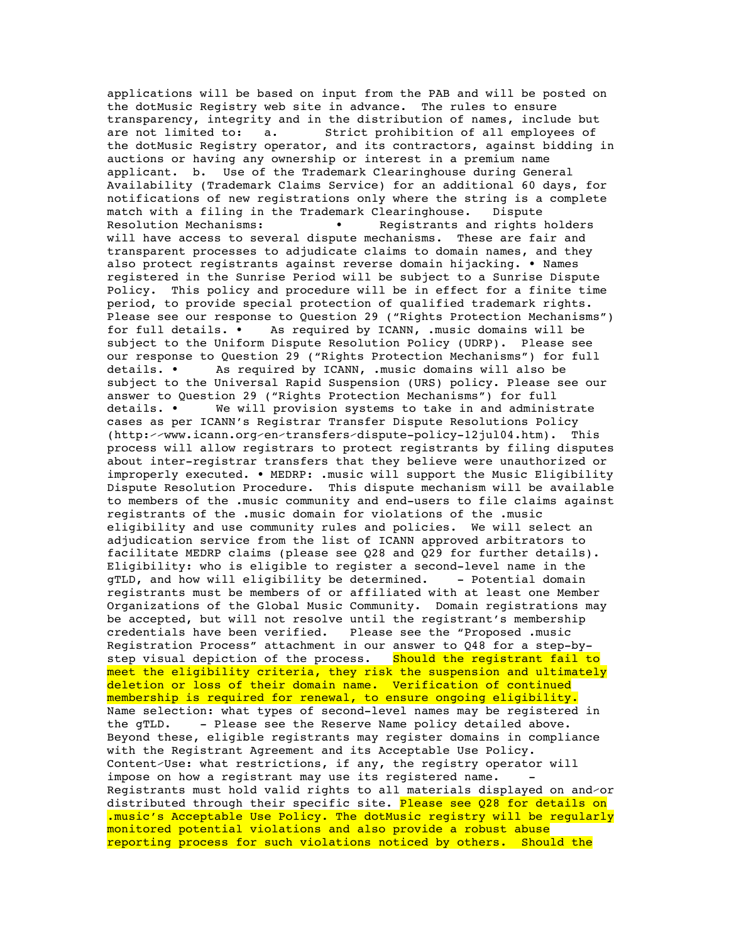applications will be based on input from the PAB and will be posted on the dotMusic Registry web site in advance. The rules to ensure transparency, integrity and in the distribution of names, include but<br>are not limited to: a. Strict prohibition of all employees of Strict prohibition of all employees of the dotMusic Registry operator, and its contractors, against bidding in auctions or having any ownership or interest in a premium name applicant. b. Use of the Trademark Clearinghouse during General Availability (Trademark Claims Service) for an additional 60 days, for notifications of new registrations only where the string is a complete match with a filing in the Trademark Clearinghouse. Dispute Resolution Mechanisms: • • Registrants and rights holders will have access to several dispute mechanisms. These are fair and transparent processes to adjudicate claims to domain names, and they also protect registrants against reverse domain hijacking. • Names registered in the Sunrise Period will be subject to a Sunrise Dispute Policy. This policy and procedure will be in effect for a finite time period, to provide special protection of qualified trademark rights. Please see our response to Question 29 ("Rights Protection Mechanisms") for full details. • As required by ICANN, .music domains will be subject to the Uniform Dispute Resolution Policy (UDRP). Please see our response to Question 29 ("Rights Protection Mechanisms") for full details. • As required by ICANN, .music domains will also be subject to the Universal Rapid Suspension (URS) policy. Please see our answer to Question 29 ("Rights Protection Mechanisms") for full details. • We will provision systems to take in and administrate cases as per ICANN's Registrar Transfer Dispute Resolutions Policy (http:⁄⁄www.icann.org⁄en⁄transfers⁄dispute-policy-12jul04.htm). This process will allow registrars to protect registrants by filing disputes about inter-registrar transfers that they believe were unauthorized or improperly executed. • MEDRP: .music will support the Music Eligibility Dispute Resolution Procedure. This dispute mechanism will be available to members of the .music community and end-users to file claims against registrants of the .music domain for violations of the .music eligibility and use community rules and policies. We will select an adjudication service from the list of ICANN approved arbitrators to facilitate MEDRP claims (please see Q28 and Q29 for further details). Eligibility: who is eligible to register a second-level name in the gTLD, and how will eligibility be determined. - Potential domain registrants must be members of or affiliated with at least one Member Organizations of the Global Music Community. Domain registrations may be accepted, but will not resolve until the registrant's membership credentials have been verified. Please see the "Proposed .music Registration Process" attachment in our answer to Q48 for a step-bystep visual depiction of the process. Should the registrant fail to meet the eligibility criteria, they risk the suspension and ultimately deletion or loss of their domain name. Verification of continued membership is required for renewal, to ensure ongoing eligibility. Name selection: what types of second-level names may be registered in the gTLD. - Please see the Reserve Name policy detailed above. - Please see the Reserve Name policy detailed above. Beyond these, eligible registrants may register domains in compliance with the Registrant Agreement and its Acceptable Use Policy. Content⁄Use: what restrictions, if any, the registry operator will impose on how a reqistrant may use its reqistered name. Registrants must hold valid rights to all materials displayed on and⁄or distributed through their specific site. Please see Q28 for details on .music's Acceptable Use Policy. The dotMusic registry will be regularly monitored potential violations and also provide a robust abuse reporting process for such violations noticed by others. Should the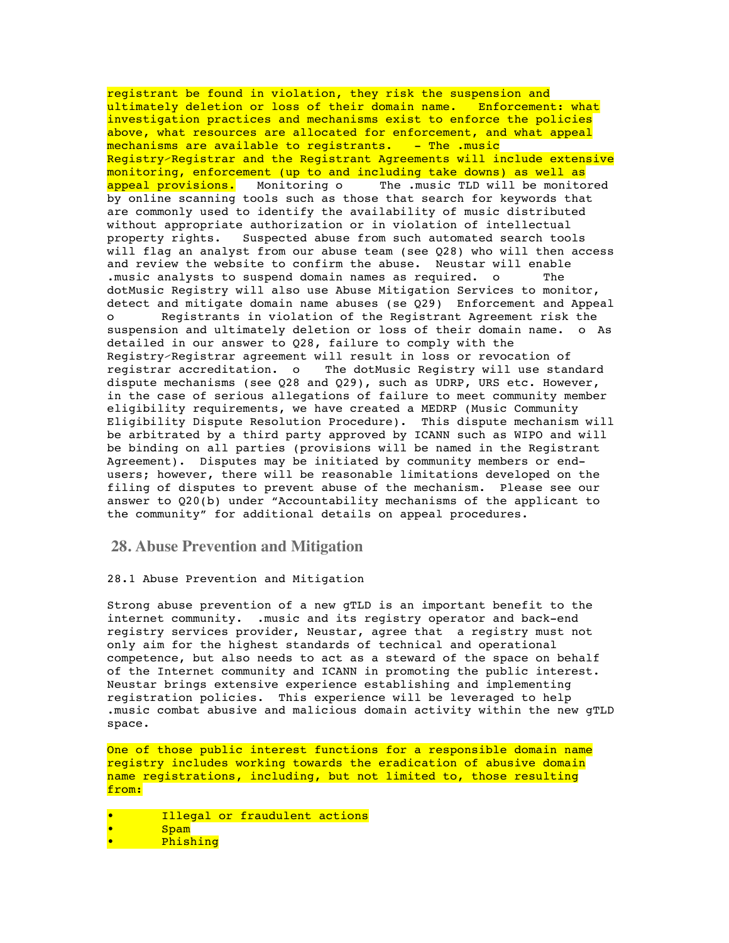registrant be found in violation, they risk the suspension and ultimately deletion or loss of their domain name. Enforcement: what investigation practices and mechanisms exist to enforce the policies above, what resources are allocated for enforcement, and what appeal mechanisms are available to registrants. - The .music Registry⁄Registrar and the Registrant Agreements will include extensive monitoring, enforcement (up to and including take downs) as well as appeal provisions. Monitoring o The .music TLD will be monitored by online scanning tools such as those that search for keywords that are commonly used to identify the availability of music distributed without appropriate authorization or in violation of intellectual property rights. Suspected abuse from such automated search tools will flag an analyst from our abuse team (see Q28) who will then access and review the website to confirm the abuse. Neustar will enable .music analysts to suspend domain names as required. o The dotMusic Registry will also use Abuse Mitigation Services to monitor, detect and mitigate domain name abuses (se Q29) Enforcement and Appeal o Registrants in violation of the Registrant Agreement risk the suspension and ultimately deletion or loss of their domain name. o As detailed in our answer to Q28, failure to comply with the Registry/Registrar agreement will result in loss or revocation of<br>registrar accreditation. o The dotMusic Registry will use stan The dotMusic Registry will use standard dispute mechanisms (see Q28 and Q29), such as UDRP, URS etc. However, in the case of serious allegations of failure to meet community member eligibility requirements, we have created a MEDRP (Music Community Eligibility Dispute Resolution Procedure). This dispute mechanism will be arbitrated by a third party approved by ICANN such as WIPO and will be binding on all parties (provisions will be named in the Registrant Agreement). Disputes may be initiated by community members or endusers; however, there will be reasonable limitations developed on the filing of disputes to prevent abuse of the mechanism. Please see our answer to Q20(b) under "Accountability mechanisms of the applicant to the community" for additional details on appeal procedures.

**28. Abuse Prevention and Mitigation**

28.1 Abuse Prevention and Mitigation

Strong abuse prevention of a new gTLD is an important benefit to the internet community. .music and its registry operator and back-end registry services provider, Neustar, agree that a registry must not only aim for the highest standards of technical and operational competence, but also needs to act as a steward of the space on behalf of the Internet community and ICANN in promoting the public interest. Neustar brings extensive experience establishing and implementing registration policies. This experience will be leveraged to help .music combat abusive and malicious domain activity within the new gTLD space.

One of those public interest functions for a responsible domain name registry includes working towards the eradication of abusive domain name registrations, including, but not limited to, those resulting from:

Illegal or fraudulent actions • Spam • Phishing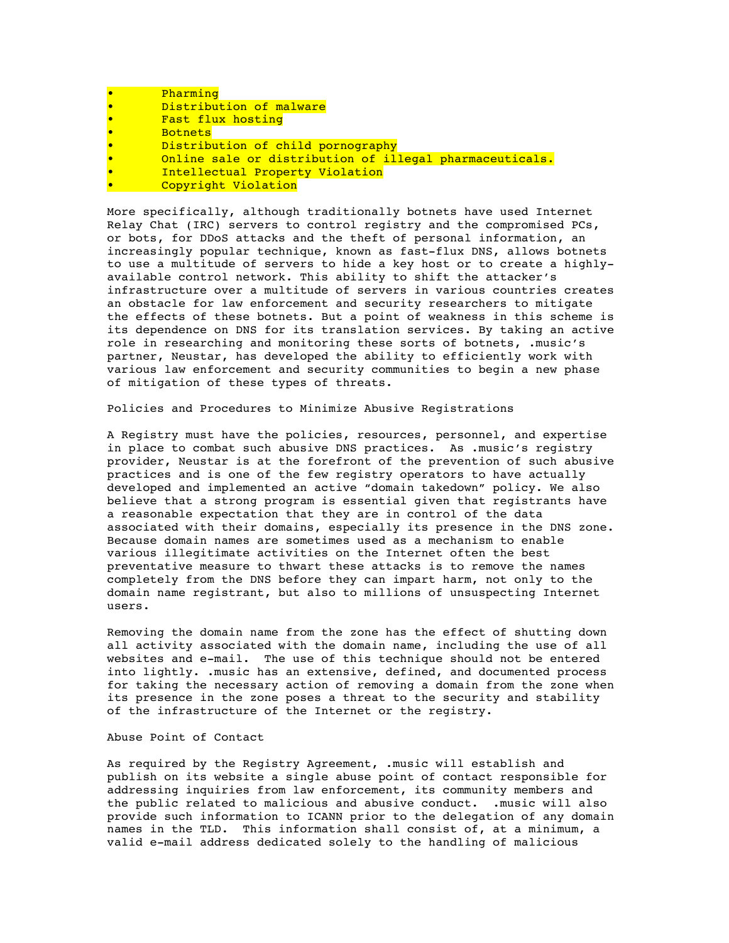| Pharming                                                |
|---------------------------------------------------------|
| Distribution of malware                                 |
| Fast flux hosting                                       |
| <b>Botnets</b>                                          |
| Distribution of child pornography                       |
| Online sale or distribution of illegal pharmaceuticals. |
| Intellectual Property Violation                         |
| Copyright Violation                                     |

More specifically, although traditionally botnets have used Internet Relay Chat (IRC) servers to control registry and the compromised PCs, or bots, for DDoS attacks and the theft of personal information, an increasingly popular technique, known as fast-flux DNS, allows botnets to use a multitude of servers to hide a key host or to create a highlyavailable control network. This ability to shift the attacker's infrastructure over a multitude of servers in various countries creates an obstacle for law enforcement and security researchers to mitigate the effects of these botnets. But a point of weakness in this scheme is its dependence on DNS for its translation services. By taking an active role in researching and monitoring these sorts of botnets, .music's partner, Neustar, has developed the ability to efficiently work with various law enforcement and security communities to begin a new phase of mitigation of these types of threats.

Policies and Procedures to Minimize Abusive Registrations

A Registry must have the policies, resources, personnel, and expertise in place to combat such abusive DNS practices. As .music's registry provider, Neustar is at the forefront of the prevention of such abusive practices and is one of the few registry operators to have actually developed and implemented an active "domain takedown" policy. We also believe that a strong program is essential given that registrants have a reasonable expectation that they are in control of the data associated with their domains, especially its presence in the DNS zone. Because domain names are sometimes used as a mechanism to enable various illegitimate activities on the Internet often the best preventative measure to thwart these attacks is to remove the names completely from the DNS before they can impart harm, not only to the domain name registrant, but also to millions of unsuspecting Internet users.

Removing the domain name from the zone has the effect of shutting down all activity associated with the domain name, including the use of all websites and e-mail. The use of this technique should not be entered into lightly. .music has an extensive, defined, and documented process for taking the necessary action of removing a domain from the zone when its presence in the zone poses a threat to the security and stability of the infrastructure of the Internet or the registry.

## Abuse Point of Contact

As required by the Registry Agreement, .music will establish and publish on its website a single abuse point of contact responsible for addressing inquiries from law enforcement, its community members and the public related to malicious and abusive conduct. .music will also provide such information to ICANN prior to the delegation of any domain names in the TLD. This information shall consist of, at a minimum, a valid e-mail address dedicated solely to the handling of malicious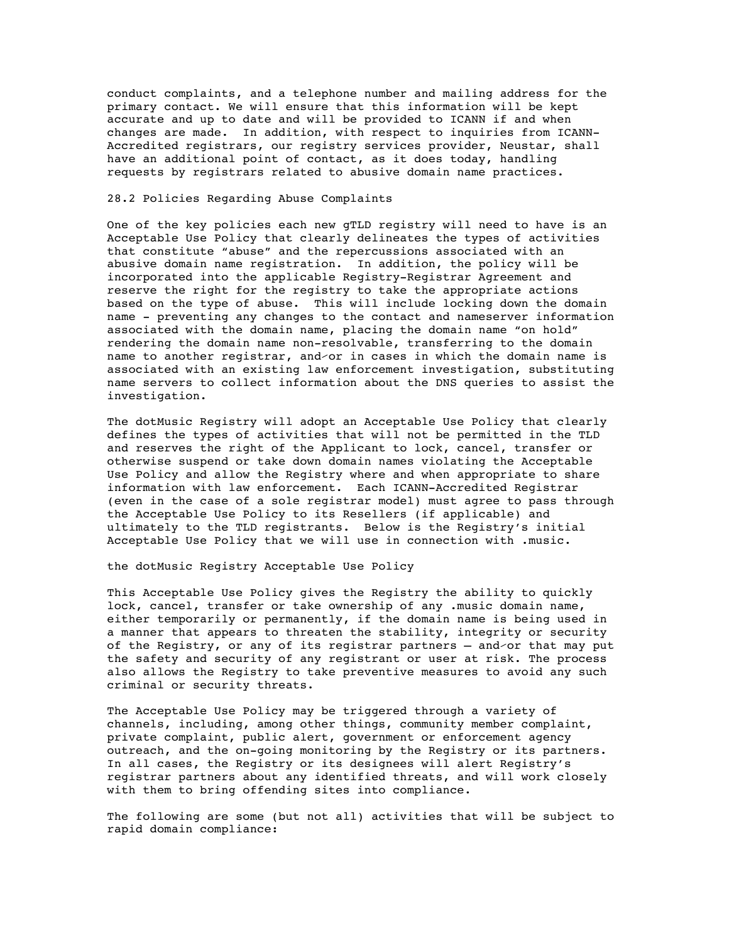conduct complaints, and a telephone number and mailing address for the primary contact. We will ensure that this information will be kept accurate and up to date and will be provided to ICANN if and when changes are made. In addition, with respect to inquiries from ICANN-Accredited registrars, our registry services provider, Neustar, shall have an additional point of contact, as it does today, handling requests by registrars related to abusive domain name practices.

### 28.2 Policies Regarding Abuse Complaints

One of the key policies each new gTLD registry will need to have is an Acceptable Use Policy that clearly delineates the types of activities that constitute "abuse" and the repercussions associated with an abusive domain name registration. In addition, the policy will be incorporated into the applicable Registry-Registrar Agreement and reserve the right for the registry to take the appropriate actions based on the type of abuse. This will include locking down the domain name - preventing any changes to the contact and nameserver information associated with the domain name, placing the domain name "on hold" rendering the domain name non-resolvable, transferring to the domain name to another registrar, and⁄or in cases in which the domain name is associated with an existing law enforcement investigation, substituting name servers to collect information about the DNS queries to assist the investigation.

The dotMusic Registry will adopt an Acceptable Use Policy that clearly defines the types of activities that will not be permitted in the TLD and reserves the right of the Applicant to lock, cancel, transfer or otherwise suspend or take down domain names violating the Acceptable Use Policy and allow the Registry where and when appropriate to share information with law enforcement. Each ICANN-Accredited Registrar (even in the case of a sole registrar model) must agree to pass through the Acceptable Use Policy to its Resellers (if applicable) and ultimately to the TLD registrants. Below is the Registry's initial Acceptable Use Policy that we will use in connection with .music.

the dotMusic Registry Acceptable Use Policy

This Acceptable Use Policy gives the Registry the ability to quickly lock, cancel, transfer or take ownership of any .music domain name, either temporarily or permanently, if the domain name is being used in a manner that appears to threaten the stability, integrity or security of the Registry, or any of its registrar partners – and⁄or that may put the safety and security of any registrant or user at risk. The process also allows the Registry to take preventive measures to avoid any such criminal or security threats.

The Acceptable Use Policy may be triggered through a variety of channels, including, among other things, community member complaint, private complaint, public alert, government or enforcement agency outreach, and the on-going monitoring by the Registry or its partners. In all cases, the Registry or its designees will alert Registry's registrar partners about any identified threats, and will work closely with them to bring offending sites into compliance.

The following are some (but not all) activities that will be subject to rapid domain compliance: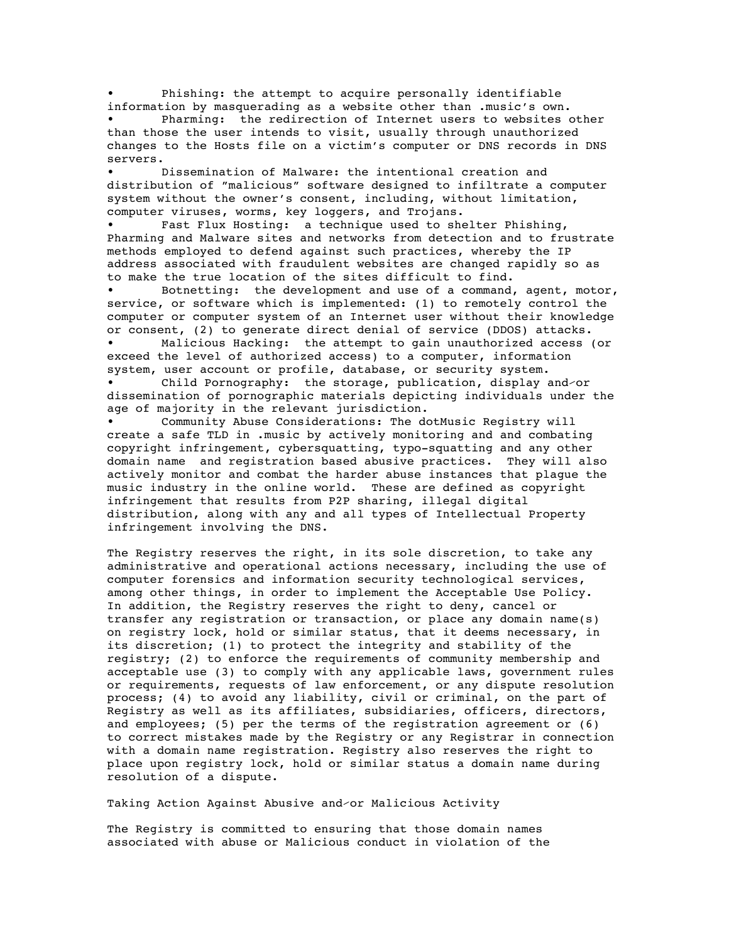Phishing: the attempt to acquire personally identifiable information by masquerading as a website other than .musicʹs own.

Pharming: the redirection of Internet users to websites other than those the user intends to visit, usually through unauthorized changes to the Hosts file on a victim's computer or DNS records in DNS servers.

Dissemination of Malware: the intentional creation and distribution of "malicious" software designed to infiltrate a computer system without the owner's consent, including, without limitation, computer viruses, worms, key loggers, and Trojans.

Fast Flux Hosting: a technique used to shelter Phishing, Pharming and Malware sites and networks from detection and to frustrate methods employed to defend against such practices, whereby the IP address associated with fraudulent websites are changed rapidly so as to make the true location of the sites difficult to find.

Botnetting: the development and use of a command, agent, motor, service, or software which is implemented: (1) to remotely control the computer or computer system of an Internet user without their knowledge or consent, (2) to generate direct denial of service (DDOS) attacks.

Malicious Hacking: the attempt to gain unauthorized access (or exceed the level of authorized access) to a computer, information system, user account or profile, database, or security system.

• Child Pornography: the storage, publication, display and⁄or dissemination of pornographic materials depicting individuals under the age of majority in the relevant jurisdiction.

• Community Abuse Considerations: The dotMusic Registry will create a safe TLD in .music by actively monitoring and and combating copyright infringement, cybersquatting, typo-squatting and any other domain name and registration based abusive practices. They will also actively monitor and combat the harder abuse instances that plague the music industry in the online world. These are defined as copyright infringement that results from P2P sharing, illegal digital distribution, along with any and all types of Intellectual Property infringement involving the DNS.

The Registry reserves the right, in its sole discretion, to take any administrative and operational actions necessary, including the use of computer forensics and information security technological services, among other things, in order to implement the Acceptable Use Policy. In addition, the Registry reserves the right to deny, cancel or transfer any registration or transaction, or place any domain name(s) on registry lock, hold or similar status, that it deems necessary, in its discretion; (1) to protect the integrity and stability of the registry; (2) to enforce the requirements of community membership and acceptable use (3) to comply with any applicable laws, government rules or requirements, requests of law enforcement, or any dispute resolution process; (4) to avoid any liability, civil or criminal, on the part of Registry as well as its affiliates, subsidiaries, officers, directors, and employees; (5) per the terms of the registration agreement or (6) to correct mistakes made by the Registry or any Registrar in connection with a domain name registration. Registry also reserves the right to place upon registry lock, hold or similar status a domain name during resolution of a dispute.

Taking Action Against Abusive and⁄or Malicious Activity

The Registry is committed to ensuring that those domain names associated with abuse or Malicious conduct in violation of the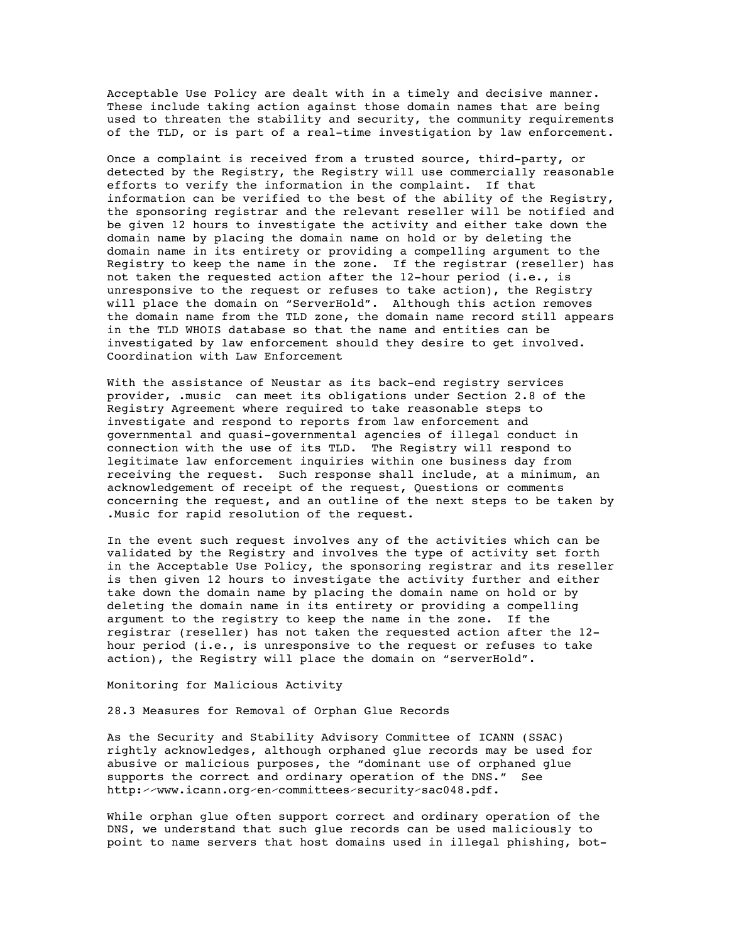Acceptable Use Policy are dealt with in a timely and decisive manner. These include taking action against those domain names that are being used to threaten the stability and security, the community requirements of the TLD, or is part of a real-time investigation by law enforcement.

Once a complaint is received from a trusted source, third-party, or detected by the Registry, the Registry will use commercially reasonable efforts to verify the information in the complaint. If that information can be verified to the best of the ability of the Registry, the sponsoring registrar and the relevant reseller will be notified and be given 12 hours to investigate the activity and either take down the domain name by placing the domain name on hold or by deleting the domain name in its entirety or providing a compelling argument to the Registry to keep the name in the zone. If the registrar (reseller) has not taken the requested action after the 12-hour period (i.e., is unresponsive to the request or refuses to take action), the Registry will place the domain on "ServerHold". Although this action removes the domain name from the TLD zone, the domain name record still appears in the TLD WHOIS database so that the name and entities can be investigated by law enforcement should they desire to get involved. Coordination with Law Enforcement

With the assistance of Neustar as its back-end registry services provider, .music can meet its obligations under Section 2.8 of the Registry Agreement where required to take reasonable steps to investigate and respond to reports from law enforcement and governmental and quasi-governmental agencies of illegal conduct in connection with the use of its TLD. The Registry will respond to legitimate law enforcement inquiries within one business day from receiving the request. Such response shall include, at a minimum, an acknowledgement of receipt of the request, Questions or comments concerning the request, and an outline of the next steps to be taken by .Music for rapid resolution of the request.

In the event such request involves any of the activities which can be validated by the Registry and involves the type of activity set forth in the Acceptable Use Policy, the sponsoring registrar and its reseller is then given 12 hours to investigate the activity further and either take down the domain name by placing the domain name on hold or by deleting the domain name in its entirety or providing a compelling argument to the registry to keep the name in the zone. If the registrar (reseller) has not taken the requested action after the 12 hour period (i.e., is unresponsive to the request or refuses to take action), the Registry will place the domain on "serverHold".

Monitoring for Malicious Activity

28.3 Measures for Removal of Orphan Glue Records

As the Security and Stability Advisory Committee of ICANN (SSAC) rightly acknowledges, although orphaned glue records may be used for abusive or malicious purposes, the "dominant use of orphaned glue supports the correct and ordinary operation of the DNS." See http:⁄⁄www.icann.org⁄en⁄committees⁄security⁄sac048.pdf.

While orphan glue often support correct and ordinary operation of the DNS, we understand that such glue records can be used maliciously to point to name servers that host domains used in illegal phishing, bot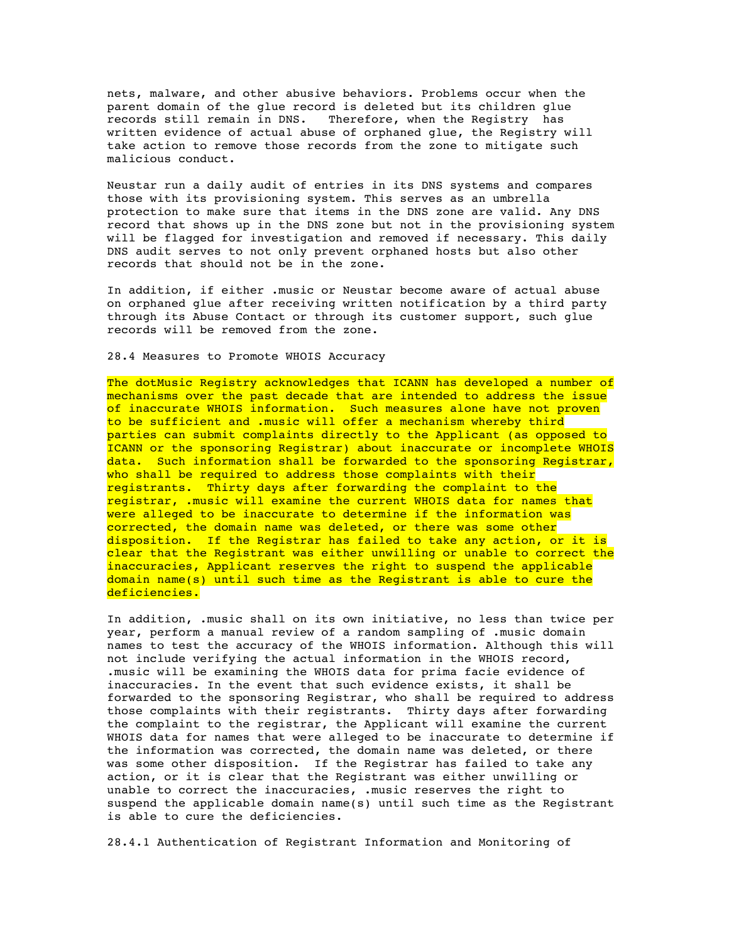nets, malware, and other abusive behaviors. Problems occur when the parent domain of the glue record is deleted but its children glue records still remain in DNS. Therefore, when the Registry has written evidence of actual abuse of orphaned glue, the Registry will take action to remove those records from the zone to mitigate such malicious conduct.

Neustar run a daily audit of entries in its DNS systems and compares those with its provisioning system. This serves as an umbrella protection to make sure that items in the DNS zone are valid. Any DNS record that shows up in the DNS zone but not in the provisioning system will be flagged for investigation and removed if necessary. This daily DNS audit serves to not only prevent orphaned hosts but also other records that should not be in the zone.

In addition, if either .music or Neustar become aware of actual abuse on orphaned glue after receiving written notification by a third party through its Abuse Contact or through its customer support, such glue records will be removed from the zone.

#### 28.4 Measures to Promote WHOIS Accuracy

The dotMusic Registry acknowledges that ICANN has developed a number of mechanisms over the past decade that are intended to address the issue of inaccurate WHOIS information. Such measures alone have not proven to be sufficient and .music will offer a mechanism whereby third parties can submit complaints directly to the Applicant (as opposed to ICANN or the sponsoring Registrar) about inaccurate or incomplete WHOIS data. Such information shall be forwarded to the sponsoring Registrar, who shall be required to address those complaints with their registrants. Thirty days after forwarding the complaint to the registrar, .music will examine the current WHOIS data for names that were alleged to be inaccurate to determine if the information was corrected, the domain name was deleted, or there was some other disposition. If the Registrar has failed to take any action, or it is clear that the Registrant was either unwilling or unable to correct the inaccuracies, Applicant reserves the right to suspend the applicable domain name(s) until such time as the Registrant is able to cure the deficiencies.

In addition, .music shall on its own initiative, no less than twice per year, perform a manual review of a random sampling of .music domain names to test the accuracy of the WHOIS information. Although this will not include verifying the actual information in the WHOIS record, .music will be examining the WHOIS data for prima facie evidence of inaccuracies. In the event that such evidence exists, it shall be forwarded to the sponsoring Registrar, who shall be required to address those complaints with their registrants. Thirty days after forwarding the complaint to the registrar, the Applicant will examine the current WHOIS data for names that were alleged to be inaccurate to determine if the information was corrected, the domain name was deleted, or there was some other disposition. If the Registrar has failed to take any action, or it is clear that the Registrant was either unwilling or unable to correct the inaccuracies, .music reserves the right to suspend the applicable domain name(s) until such time as the Registrant is able to cure the deficiencies.

28.4.1 Authentication of Registrant Information and Monitoring of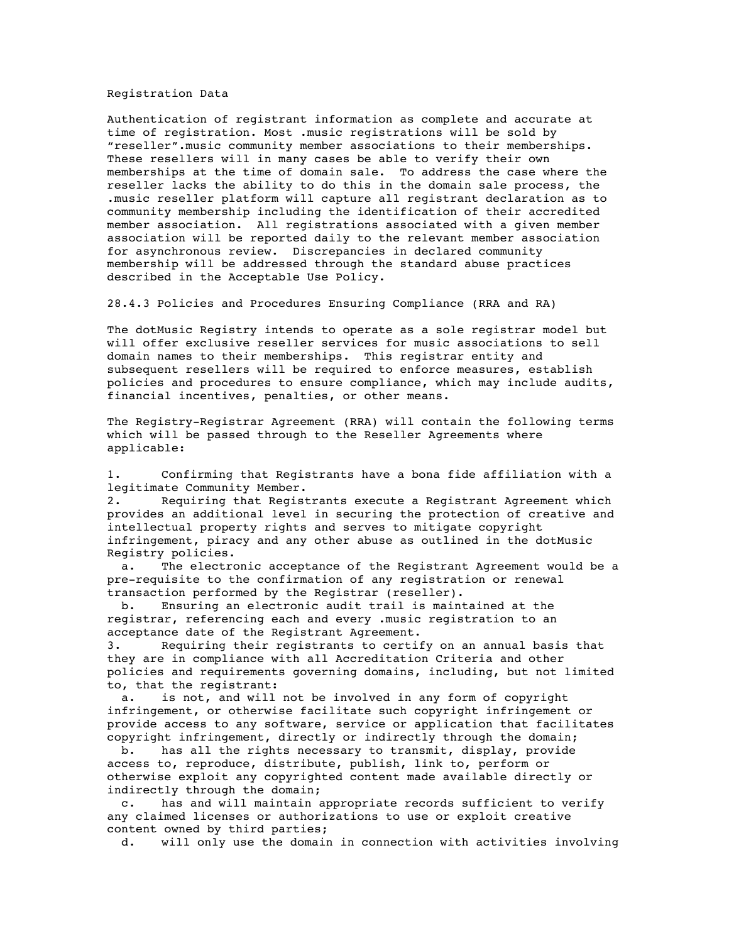Registration Data

Authentication of registrant information as complete and accurate at time of registration. Most .music registrations will be sold by "reseller".music community member associations to their memberships. These resellers will in many cases be able to verify their own memberships at the time of domain sale. To address the case where the reseller lacks the ability to do this in the domain sale process, the .music reseller platform will capture all registrant declaration as to community membership including the identification of their accredited member association. All registrations associated with a given member association will be reported daily to the relevant member association for asynchronous review. Discrepancies in declared community membership will be addressed through the standard abuse practices described in the Acceptable Use Policy.

28.4.3 Policies and Procedures Ensuring Compliance (RRA and RA)

The dotMusic Registry intends to operate as a sole registrar model but will offer exclusive reseller services for music associations to sell domain names to their memberships. This registrar entity and subsequent resellers will be required to enforce measures, establish policies and procedures to ensure compliance, which may include audits, financial incentives, penalties, or other means.

The Registry-Registrar Agreement (RRA) will contain the following terms which will be passed through to the Reseller Agreements where applicable:

1. Confirming that Registrants have a bona fide affiliation with a legitimate Community Member.

2. Requiring that Registrants execute a Registrant Agreement which provides an additional level in securing the protection of creative and intellectual property rights and serves to mitigate copyright infringement, piracy and any other abuse as outlined in the dotMusic Registry policies.

 a. The electronic acceptance of the Registrant Agreement would be a pre-requisite to the confirmation of any registration or renewal transaction performed by the Registrar (reseller).

 b. Ensuring an electronic audit trail is maintained at the registrar, referencing each and every .music registration to an acceptance date of the Registrant Agreement.

3. Requiring their registrants to certify on an annual basis that they are in compliance with all Accreditation Criteria and other policies and requirements governing domains, including, but not limited to, that the registrant:

 a. is not, and will not be involved in any form of copyright infringement, or otherwise facilitate such copyright infringement or provide access to any software, service or application that facilitates copyright infringement, directly or indirectly through the domain;

 b. has all the rights necessary to transmit, display, provide access to, reproduce, distribute, publish, link to, perform or otherwise exploit any copyrighted content made available directly or indirectly through the domain;

 c. has and will maintain appropriate records sufficient to verify any claimed licenses or authorizations to use or exploit creative content owned by third parties;

d. will only use the domain in connection with activities involving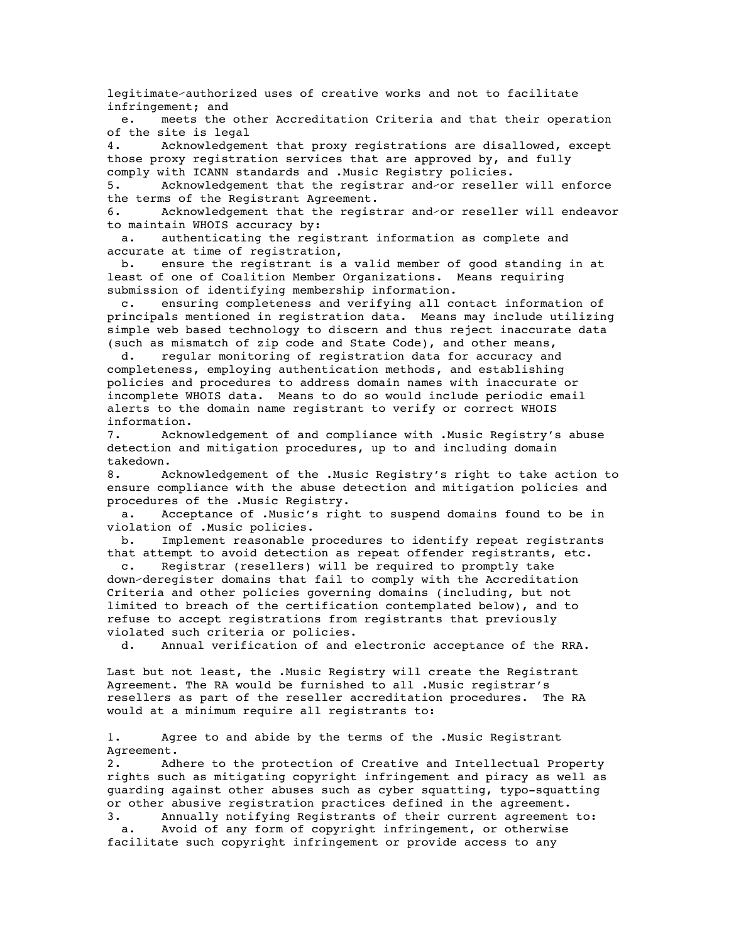legitimate⁄authorized uses of creative works and not to facilitate infringement; and

 e. meets the other Accreditation Criteria and that their operation of the site is legal

4. Acknowledgement that proxy registrations are disallowed, except those proxy registration services that are approved by, and fully comply with ICANN standards and .Music Registry policies.

5. Acknowledgement that the registrar and⁄or reseller will enforce the terms of the Registrant Agreement.

6. Acknowledgement that the registrar and⁄or reseller will endeavor to maintain WHOIS accuracy by:

 a. authenticating the registrant information as complete and accurate at time of registration,

 b. ensure the registrant is a valid member of good standing in at least of one of Coalition Member Organizations. Means requiring submission of identifying membership information.

 c. ensuring completeness and verifying all contact information of principals mentioned in registration data. Means may include utilizing simple web based technology to discern and thus reject inaccurate data (such as mismatch of zip code and State Code), and other means,

 d. regular monitoring of registration data for accuracy and completeness, employing authentication methods, and establishing policies and procedures to address domain names with inaccurate or incomplete WHOIS data. Means to do so would include periodic email alerts to the domain name registrant to verify or correct WHOIS information.

7. Acknowledgement of and compliance with .Music Registry's abuse detection and mitigation procedures, up to and including domain takedown.

8. Acknowledgement of the .Music Registry's right to take action to ensure compliance with the abuse detection and mitigation policies and procedures of the .Music Registry.

 a. Acceptance of .Music's right to suspend domains found to be in violation of .Music policies.

 b. Implement reasonable procedures to identify repeat registrants that attempt to avoid detection as repeat offender registrants, etc.

 c. Registrar (resellers) will be required to promptly take down⁄deregister domains that fail to comply with the Accreditation Criteria and other policies governing domains (including, but not limited to breach of the certification contemplated below), and to refuse to accept registrations from registrants that previously violated such criteria or policies.

d. Annual verification of and electronic acceptance of the RRA.

Last but not least, the .Music Registry will create the Registrant Agreement. The RA would be furnished to all .Music registrar's resellers as part of the reseller accreditation procedures. The RA would at a minimum require all registrants to:

1. Agree to and abide by the terms of the .Music Registrant Agreement.

2. Adhere to the protection of Creative and Intellectual Property rights such as mitigating copyright infringement and piracy as well as guarding against other abuses such as cyber squatting, typo-squatting or other abusive registration practices defined in the agreement.

3. Annually notifying Registrants of their current agreement to: a. Avoid of any form of copyright infringement, or otherwise facilitate such copyright infringement or provide access to any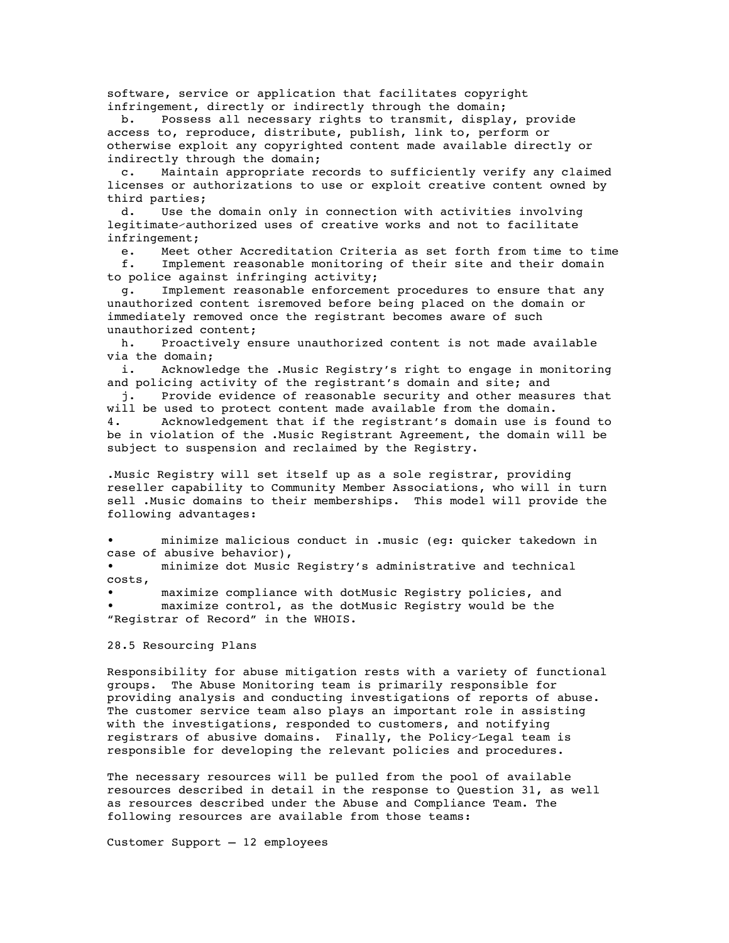software, service or application that facilitates copyright infringement, directly or indirectly through the domain;

 b. Possess all necessary rights to transmit, display, provide access to, reproduce, distribute, publish, link to, perform or otherwise exploit any copyrighted content made available directly or indirectly through the domain;

 c. Maintain appropriate records to sufficiently verify any claimed licenses or authorizations to use or exploit creative content owned by third parties;

 d. Use the domain only in connection with activities involving legitimate⁄authorized uses of creative works and not to facilitate infringement;

 e. Meet other Accreditation Criteria as set forth from time to time f. Implement reasonable monitoring of their site and their domain

to police against infringing activity;

 g. Implement reasonable enforcement procedures to ensure that any unauthorized content isremoved before being placed on the domain or immediately removed once the registrant becomes aware of such unauthorized content;

 h. Proactively ensure unauthorized content is not made available via the domain;

 i. Acknowledge the .Music Registry's right to engage in monitoring and policing activity of the registrant's domain and site; and

 j. Provide evidence of reasonable security and other measures that will be used to protect content made available from the domain.

4. Acknowledgement that if the registrant's domain use is found to be in violation of the .Music Registrant Agreement, the domain will be subject to suspension and reclaimed by the Registry.

.Music Registry will set itself up as a sole registrar, providing reseller capability to Community Member Associations, who will in turn sell .Music domains to their memberships. This model will provide the following advantages:

• minimize malicious conduct in .music (eg: quicker takedown in case of abusive behavior),

• minimize dot Music Registry's administrative and technical costs,

• maximize compliance with dotMusic Registry policies, and maximize control, as the dotMusic Registry would be the "Registrar of Record" in the WHOIS.

28.5 Resourcing Plans

Responsibility for abuse mitigation rests with a variety of functional groups. The Abuse Monitoring team is primarily responsible for providing analysis and conducting investigations of reports of abuse. The customer service team also plays an important role in assisting with the investigations, responded to customers, and notifying registrars of abusive domains. Finally, the Policy⁄Legal team is responsible for developing the relevant policies and procedures.

The necessary resources will be pulled from the pool of available resources described in detail in the response to Question 31, as well as resources described under the Abuse and Compliance Team. The following resources are available from those teams:

Customer Support – 12 employees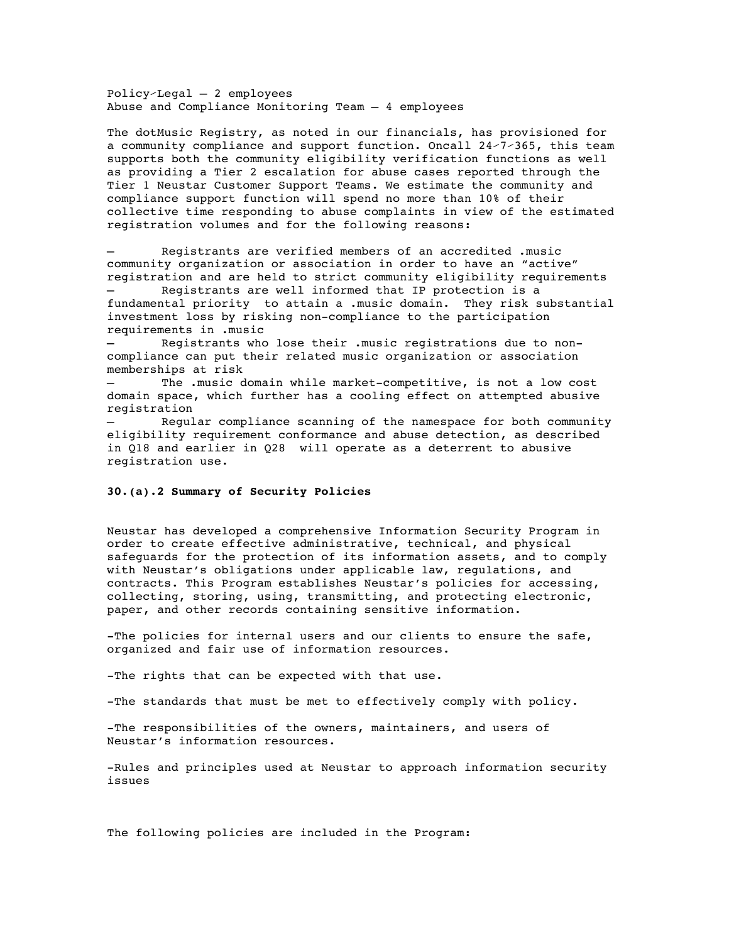Policy⁄Legal – 2 employees Abuse and Compliance Monitoring Team – 4 employees

The dotMusic Registry, as noted in our financials, has provisioned for a community compliance and support function. Oncall 24⁄7⁄365, this team supports both the community eligibility verification functions as well as providing a Tier 2 escalation for abuse cases reported through the Tier 1 Neustar Customer Support Teams. We estimate the community and compliance support function will spend no more than 10% of their collective time responding to abuse complaints in view of the estimated registration volumes and for the following reasons:

– Registrants are verified members of an accredited .music community organization or association in order to have an "active" registration and are held to strict community eligibility requirements Registrants are well informed that IP protection is a

fundamental priority to attain a .music domain. They risk substantial investment loss by risking non-compliance to the participation requirements in .music

– Registrants who lose their .music registrations due to noncompliance can put their related music organization or association memberships at risk

The .music domain while market-competitive, is not a low cost domain space, which further has a cooling effect on attempted abusive registration

– Regular compliance scanning of the namespace for both community eligibility requirement conformance and abuse detection, as described in Q18 and earlier in Q28 will operate as a deterrent to abusive registration use.

# **30.(a).2 Summary of Security Policies**

Neustar has developed a comprehensive Information Security Program in order to create effective administrative, technical, and physical safeguards for the protection of its information assets, and to comply with Neustarʹs obligations under applicable law, regulations, and contracts. This Program establishes Neustarʹs policies for accessing, collecting, storing, using, transmitting, and protecting electronic, paper, and other records containing sensitive information.

-The policies for internal users and our clients to ensure the safe, organized and fair use of information resources.

-The rights that can be expected with that use.

-The standards that must be met to effectively comply with policy.

-The responsibilities of the owners, maintainers, and users of Neustarʹs information resources.

-Rules and principles used at Neustar to approach information security issues

The following policies are included in the Program: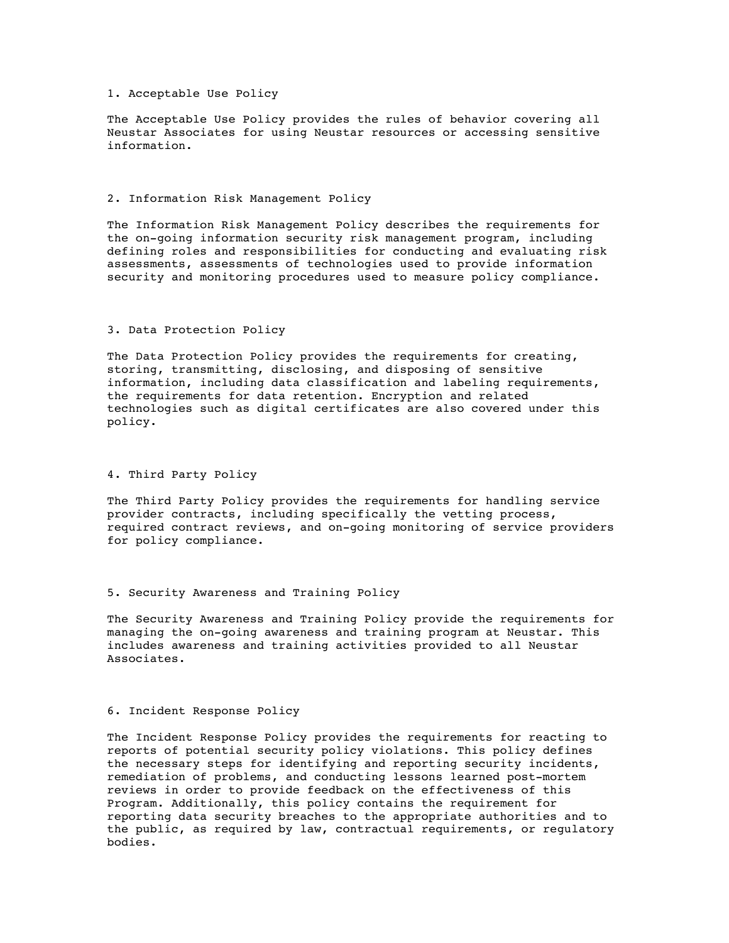# 1. Acceptable Use Policy

The Acceptable Use Policy provides the rules of behavior covering all Neustar Associates for using Neustar resources or accessing sensitive information.

#### 2. Information Risk Management Policy

The Information Risk Management Policy describes the requirements for the on-going information security risk management program, including defining roles and responsibilities for conducting and evaluating risk assessments, assessments of technologies used to provide information security and monitoring procedures used to measure policy compliance.

#### 3. Data Protection Policy

The Data Protection Policy provides the requirements for creating, storing, transmitting, disclosing, and disposing of sensitive information, including data classification and labeling requirements, the requirements for data retention. Encryption and related technologies such as digital certificates are also covered under this policy.

## 4. Third Party Policy

The Third Party Policy provides the requirements for handling service provider contracts, including specifically the vetting process, required contract reviews, and on-going monitoring of service providers for policy compliance.

# 5. Security Awareness and Training Policy

The Security Awareness and Training Policy provide the requirements for managing the on-going awareness and training program at Neustar. This includes awareness and training activities provided to all Neustar Associates.

# 6. Incident Response Policy

The Incident Response Policy provides the requirements for reacting to reports of potential security policy violations. This policy defines the necessary steps for identifying and reporting security incidents, remediation of problems, and conducting lessons learned post-mortem reviews in order to provide feedback on the effectiveness of this Program. Additionally, this policy contains the requirement for reporting data security breaches to the appropriate authorities and to the public, as required by law, contractual requirements, or regulatory bodies.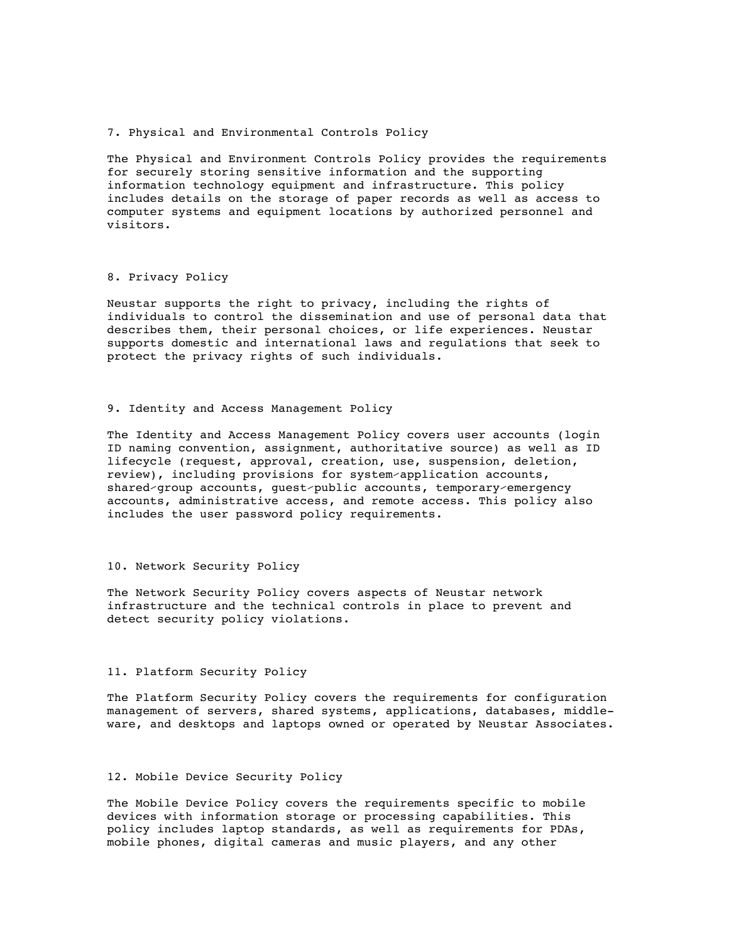#### 7. Physical and Environmental Controls Policy

The Physical and Environment Controls Policy provides the requirements for securely storing sensitive information and the supporting information technology equipment and infrastructure. This policy includes details on the storage of paper records as well as access to computer systems and equipment locations by authorized personnel and visitors.

# 8. Privacy Policy

Neustar supports the right to privacy, including the rights of individuals to control the dissemination and use of personal data that describes them, their personal choices, or life experiences. Neustar supports domestic and international laws and regulations that seek to protect the privacy rights of such individuals.

#### 9. Identity and Access Management Policy

The Identity and Access Management Policy covers user accounts (login ID naming convention, assignment, authoritative source) as well as ID lifecycle (request, approval, creation, use, suspension, deletion, review), including provisions for system⁄application accounts, shared⁄group accounts, guest⁄public accounts, temporary⁄emergency accounts, administrative access, and remote access. This policy also includes the user password policy requirements.

#### 10. Network Security Policy

The Network Security Policy covers aspects of Neustar network infrastructure and the technical controls in place to prevent and detect security policy violations.

# 11. Platform Security Policy

The Platform Security Policy covers the requirements for configuration management of servers, shared systems, applications, databases, middleware, and desktops and laptops owned or operated by Neustar Associates.

### 12. Mobile Device Security Policy

The Mobile Device Policy covers the requirements specific to mobile devices with information storage or processing capabilities. This policy includes laptop standards, as well as requirements for PDAs, mobile phones, digital cameras and music players, and any other